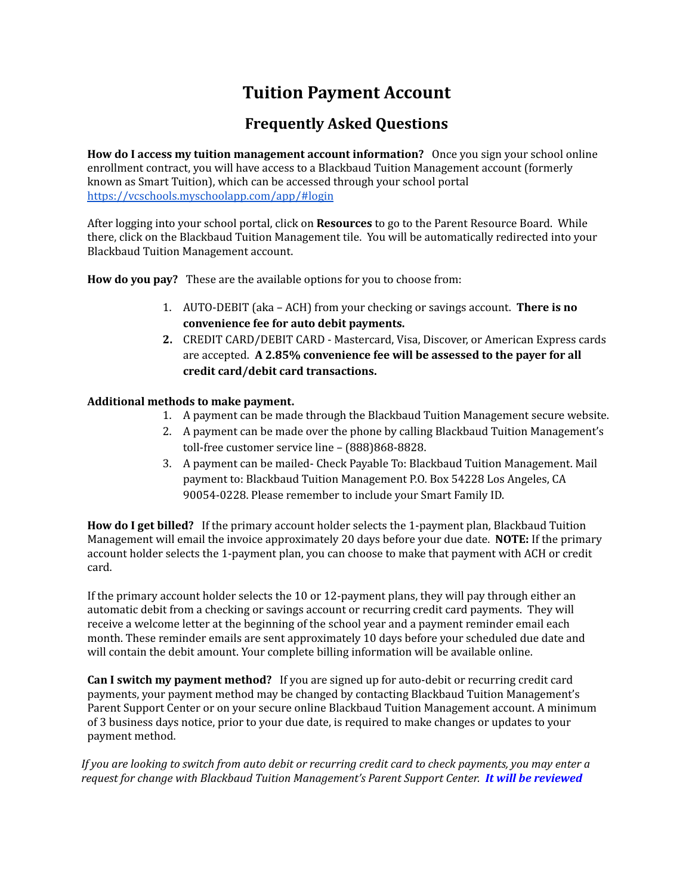## **Tuition Payment Account**

## **Frequently Asked Questions**

**How do I access my tuition management account information?** Once you sign your school online enrollment contract, you will have access to a Blackbaud Tuition Management account (formerly known as Smart Tuition), which can be accessed through your school portal <https://vcschools.myschoolapp.com/app/#login>

After logging into your school portal, click on **Resources** to go to the Parent Resource Board. While there, click on the Blackbaud Tuition Management tile. You will be automatically redirected into your Blackbaud Tuition Management account.

**How do you pay?** These are the available options for you to choose from:

- 1. AUTO-DEBIT (aka ACH) from your checking or savings account. **There is no convenience fee for auto debit payments.**
- **2.** CREDIT CARD/DEBIT CARD Mastercard, Visa, Discover, or American Express cards are accepted. **A 2.85% convenience fee will be assessed to the payer for all credit card/debit card transactions.**

## **Additional methods to make payment.**

- 1. A payment can be made through the Blackbaud Tuition Management secure website.
- 2. A payment can be made over the phone by calling Blackbaud Tuition Management's toll-free customer service line – (888)868-8828.
- 3. A payment can be mailed- Check Payable To: Blackbaud Tuition Management. Mail payment to: Blackbaud Tuition Management P.O. Box 54228 Los Angeles, CA 90054-0228. Please remember to include your Smart Family ID.

**How do I get billed?** If the primary account holder selects the 1-payment plan, Blackbaud Tuition Management will email the invoice approximately 20 days before your due date. **NOTE:** If the primary account holder selects the 1-payment plan, you can choose to make that payment with ACH or credit card.

If the primary account holder selects the 10 or 12-payment plans, they will pay through either an automatic debit from a checking or savings account or recurring credit card payments. They will receive a welcome letter at the beginning of the school year and a payment reminder email each month. These reminder emails are sent approximately 10 days before your scheduled due date and will contain the debit amount. Your complete billing information will be available online.

**Can I switch my payment method?** If you are signed up for auto-debit or recurring credit card payments, your payment method may be changed by contacting Blackbaud Tuition Management's Parent Support Center or on your secure online Blackbaud Tuition Management account. A minimum of 3 business days notice, prior to your due date, is required to make changes or updates to your payment method.

*If you are looking to switch from auto debit or recurring credit card to check payments, you may enter a request for change with Blackbaud Tuition Management's Parent Support Center. It will be reviewed*